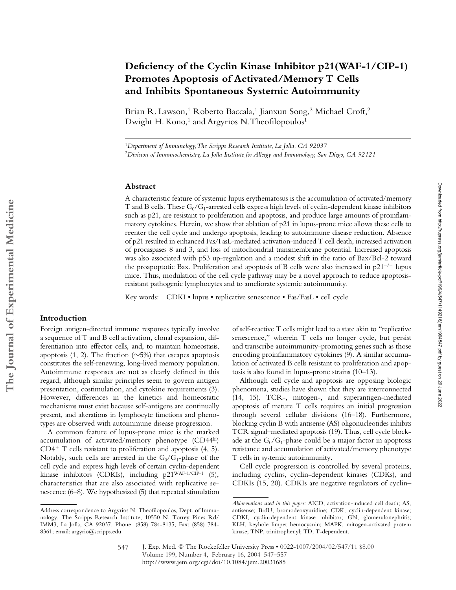# **Deficiency of the Cyclin Kinase Inhibitor p21(WAF-1/CIP-1) Promotes Apoptosis of Activated/Memory T Cells and Inhibits Spontaneous Systemic Autoimmunity**

Brian R. Lawson,<sup>1</sup> Roberto Baccala,<sup>1</sup> Jianxun Song,<sup>2</sup> Michael Croft,<sup>2</sup> Dwight H. Kono,<sup>1</sup> and Argyrios N. Theofilopoulos<sup>1</sup>

<sup>1</sup>*Department of Immunology, The Scripps Research Institute, La Jolla, CA 92037* <sup>2</sup>*Division of Immunochemistry, La Jolla Institute for Allergy and Immunology, San Diego, CA 92121*

#### **Abstract**

A characteristic feature of systemic lupus erythematosus is the accumulation of activated/memory T and B cells. These  $G_0/G_1$ -arrested cells express high levels of cyclin-dependent kinase inhibitors such as p21, are resistant to proliferation and apoptosis, and produce large amounts of proinflammatory cytokines. Herein, we show that ablation of p21 in lupus-prone mice allows these cells to reenter the cell cycle and undergo apoptosis, leading to autoimmune disease reduction. Absence of p21 resulted in enhanced Fas/FasL-mediated activation-induced T cell death, increased activation of procaspases 8 and 3, and loss of mitochondrial transmembrane potential. Increased apoptosis was also associated with p53 up-regulation and a modest shift in the ratio of Bax/Bcl-2 toward the proapoptotic Bax. Proliferation and apoptosis of B cells were also increased in  $p21^{-/-}$  lupus mice. Thus, modulation of the cell cycle pathway may be a novel approach to reduce apoptosisresistant pathogenic lymphocytes and to ameliorate systemic autoimmunity.

Key words: CDKI • lupus • replicative senescence • Fas/FasL • cell cycle

# **Introduction**

Foreign antigen-directed immune responses typically involve a sequence of T and B cell activation, clonal expansion, differentiation into effector cells, and, to maintain homeostasis, apoptosis (1, 2). The fraction ( $\sim$ 5%) that escapes apoptosis constitutes the self-renewing, long-lived memory population. Autoimmune responses are not as clearly defined in this regard, although similar principles seem to govern antigen presentation, costimulation, and cytokine requirements (3). However, differences in the kinetics and homeostatic mechanisms must exist because self-antigens are continually present, and alterations in lymphocyte functions and phenotypes are observed with autoimmune disease progression.

A common feature of lupus-prone mice is the marked accumulation of activated/memory phenotype (CD44hi)  $CD4^+$  T cells resistant to proliferation and apoptosis  $(4, 5)$ . Notably, such cells are arrested in the  $G_0/G_1$ -phase of the cell cycle and express high levels of certain cyclin-dependent kinase inhibitors (CDKIs), including p21WAF-1/CIP-1 (5), characteristics that are also associated with replicative senescence (6–8). We hypothesized (5) that repeated stimulation

of self-reactive T cells might lead to a state akin to "replicative senescence," wherein T cells no longer cycle, but persist and transcribe autoimmunity-promoting genes such as those encoding proinflammatory cytokines (9). A similar accumulation of activated B cells resistant to proliferation and apoptosis is also found in lupus-prone strains (10–13).

Although cell cycle and apoptosis are opposing biologic phenomena, studies have shown that they are interconnected (14, 15). TCR-, mitogen-, and superantigen-mediated apoptosis of mature T cells requires an initial progression through several cellular divisions (16–18). Furthermore, blocking cyclin B with antisense (AS) oligonucleotides inhibits TCR signal–mediated apoptosis (19). Thus, cell cycle blockade at the  $G_0/G_1$ -phase could be a major factor in apoptosis resistance and accumulation of activated/memory phenotype T cells in systemic autoimmunity.

Cell cycle progression is controlled by several proteins, including cyclins, cyclin-dependent kinases (CDKs), and CDKIs (15, 20). CDKIs are negative regulators of cyclin–

Address correspondence to Argyrios N. Theofilopoulos, Dept. of Immunology, The Scripps Research Institute, 10550 N. Torrey Pines Rd/ IMM3, La Jolla, CA 92037. Phone: (858) 784-8135; Fax: (858) 784- 8361; email: argyrio@scripps.edu

*Abbreviations used in this paper:* AICD, activation-induced cell death; AS, antisense; BrdU, bromodeoxyuridine; CDK, cyclin-dependent kinase; CDKI, cyclin-dependent kinase inhibitor; GN, glomerulonephritis; KLH, keyhole limpet hemocyanin; MAPK, mitogen-activated protein kinase; TNP, trinitrophenyl; TD, T-dependent.

J. Exp. Med. © The Rockefeller University Press • 0022-1007/2004/02/547/11 \$8.00 Volume 199, Number 4, February 16, 2004 547–557 http://www.jem.org/cgi/doi/10.1084/jem.20031685 547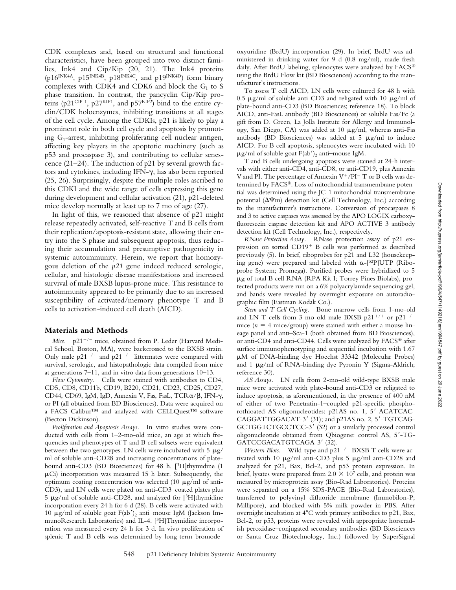Downloaded from http://rupress.org/jem/article-pdf/199/4/547/1149216/jem1994547.pdf by guest on 29 June 2022 Downloaded from http://rupress.org/jem/article-pdf/199/4/547/1149216/jem1994547.pdf by guest on 29 June 2022

CDK complexes and, based on structural and functional characteristics, have been grouped into two distinct families, Ink4 and Cip/Kip (20, 21). The Ink4 proteins (p16INK4A, p15INK4B, p18INK4C, and p19INK4D) form binary complexes with CDK4 and CDK6 and block the  $G_1$  to S phase transition. In contrast, the pancyclin Cip/Kip proteins (p21<sup>CIP-1</sup>, p27<sup>KIP1</sup>, and p57<sup>KIP2</sup>) bind to the entire cyclin/CDK holoenzymes, inhibiting transitions at all stages of the cell cycle. Among the CDKIs, p21 is likely to play a prominent role in both cell cycle and apoptosis by promoting  $G_1$ -arrest, inhibiting proliferating cell nuclear antigen, affecting key players in the apoptotic machinery (such as p53 and procaspase 3), and contributing to cellular senescence (21–24). The induction of p21 by several growth factors and cytokines, including IFN- $\gamma$ , has also been reported (25, 26). Surprisingly, despite the multiple roles ascribed to this CDKI and the wide range of cells expressing this gene during development and cellular activation (21), p21-deleted mice develop normally at least up to 7 mo of age (27).

In light of this, we reasoned that absence of p21 might release repeatedly activated, self-reactive T and B cells from their replication/apoptosis-resistant state, allowing their entry into the S phase and subsequent apoptosis, thus reducing their accumulation and presumptive pathogenicity in systemic autoimmunity. Herein, we report that homozygous deletion of the *p21* gene indeed reduced serologic, cellular, and histologic disease manifestations and increased survival of male BXSB lupus-prone mice. This resistance to autoimmunity appeared to be primarily due to an increased susceptibility of activated/memory phenotype T and B cells to activation-induced cell death (AICD).

#### **Materials and Methods**

Mice. p21<sup>-/-</sup> mice, obtained from P. Leder (Harvard Medical School, Boston, MA), were backcrossed to the BXSB strain. Only male  $p21^{+/+}$  and  $p21^{-/-}$  littermates were compared with survival, serologic, and histopathologic data compiled from mice at generations 7–11, and in vitro data from generations 10–13.

*Flow Cytometry.* Cells were stained with antibodies to CD4, CD5, CD8, CD11b, CD19, B220, CD21, CD23, CD25, CD27, CD44, CD69, IgM, IgD, Annexin V, Fas, FasL, TCR $\alpha$ / $\beta$ , IFN- $\gamma$ , or PI (all obtained from BD Biosciences). Data were acquired on a FACS Calibur™ and analyzed with CELLQuest™ software (Becton Dickinson).

*Proliferation and Apoptosis Assays.* In vitro studies were conducted with cells from 1–2-mo-old mice, an age at which frequencies and phenotypes of T and B cell subsets were equivalent between the two genotypes. LN cells were incubated with 5  $\mu$ g/ ml of soluble anti-CD28 and increasing concentrations of platebound anti-CD3 (BD Biosciences) for 48 h. [3H]thymidine (1  $\mu$ Ci) incorporation was measured 15 h later. Subsequently, the optimum coating concentration was selected (10  $\mu$ g/ml of anti-CD3), and LN cells were plated on anti-CD3–coated plates plus  $5 \mu$ g/ml of soluble anti-CD28, and analyzed for [3H]thymidine incorporation every 24 h for 6 d (28). B cells were activated with 10  $\mu$ g/ml of soluble goat F(ab<sup>'</sup>)<sub>2</sub> anti-mouse IgM (Jackson ImmunoResearch Laboratories) and IL-4. [3H]Thymidine incorporation was measured every 24 h for 3 d. In vivo proliferation of splenic T and B cells was determined by long-term bromodeoxyuridine (BrdU) incorporation (29). In brief, BrdU was administered in drinking water for 9 d (0.8 mg/ml), made fresh daily. After BrdU labeling, splenocytes were analyzed by FACS® using the BrdU Flow kit (BD Biosciences) according to the manufacturer's instructions.

To assess T cell AICD, LN cells were cultured for 48 h with 0.5  $\mu$ g/ml of soluble anti-CD3 and religated with 10  $\mu$ g/ml of plate-bound anti-CD3 (BD Biosciences; reference 18). To block AICD, anti-FasL antibody (BD Biosciences) or soluble Fas/Fc (a gift from D. Green, La Jolla Institute for Allergy and Immunology, San Diego, CA) was added at 10  $\mu$ g/ml, whereas anti-Fas antibody (BD Biosciences) was added at 5  $\mu$ g/ml to induce AICD. For B cell apoptosis, splenocytes were incubated with 10  $\mu$ g/ml of soluble goat F(ab')<sub>2</sub> anti-mouse IgM.

T and B cells undergoing apoptosis were stained at 24-h intervals with either anti-CD4, anti-CD8, or anti-CD19, plus Annexin V and PI. The percentage of Annexin  $V^+/PI^-$  T or B cells was determined by FACS®. Loss of mitochondrial transmembrane potential was determined using the JC-1 mitochondrial transmembrane potential ( $\Delta\Psi$ m) detection kit (Cell Technology, Inc.) according to the manufacturer's instructions. Conversion of procaspases 8 and 3 to active caspases was assessed by the APO LOGIX carboxyfluorescein caspase detection kit and APO ACTIVE 3 antibody detection kit (Cell Technology, Inc.), respectively.

*RNase Protection Assay.* RNase protection assay of p21 expression on sorted  $CD19$ <sup>+</sup> B cells was performed as described previously (5). In brief, riboprobes for p21 and L32 (housekeeping gene) were prepared and labeled with  $\alpha$ -[32P]UTP (Riboprobe System; Promega). Purified probes were hybridized to 5 g of total B cell RNA (RPA Kit I; Torrey Pines Biolabs), protected products were run on a 6% polyacrylamide sequencing gel, and bands were revealed by overnight exposure on autoradiographic film (Eastman Kodak Co.).

*Stem and T Cell Cycling.* Bone marrow cells from 1-mo-old and LN T cells from 3-mo-old male BXSB  $p21^{+/+}$  or  $p21^{-/-}$ mice  $(n = 4$  mice/group) were stained with either a mouse lineage panel and anti–Sca-1 (both obtained from BD Biosciences), or anti-CD4 and anti-CD44. Cells were analyzed by FACS® after surface immunophenotyping and sequential incubation with 1.67 M of DNA-binding dye Hoechst 33342 (Molecular Probes) and 1  $\mu$ g/ml of RNA-binding dye Pyronin Y (Sigma-Aldrich; reference 30).

*AS Assays.* LN cells from 2-mo-old wild-type BXSB male mice were activated with plate-bound anti-CD3 or religated to induce apoptosis, as aforementioned, in the presence of 400 nM of either of two Penetratin-1–coupled p21-specific phosphorothioated AS oligonucleotides: p21AS no. 1, 5 -ACATCAC- $CAGGATTGGACAT-3'$  (31); and p21AS no. 2, 5'-TGTCAG-GCTGGTCTGCCTCC-3' (32) or a similarly processed control oligonucleotide obtained from Qbiogene: control AS, 5 -TG-GATCCGACATGTCAGA-3' (32).

*Western Blots.* Wild-type and  $p21^{-/-}$  BXSB T cells were activated with 10  $\mu$ g/ml anti-CD3 plus 5  $\mu$ g/ml anti-CD28 and analyzed for p21, Bax, Bcl-2, and p53 protein expression. In brief, lysates were prepared from  $2.0 \times 10^7$  cells, and protein was measured by microprotein assay (Bio-Rad Laboratories). Proteins were separated on a 15% SDS-PAGE (Bio-Rad Laboratories), transferred to polyvinyl difluoride membrane (Immobilon-P; Millipore), and blocked with 5% milk powder in PBS. After overnight incubation at  $4^{\circ}$ C with primary antibodies to p21, Bax, Bcl-2, or p53, proteins were revealed with appropriate horseradish peroxidase–conjugated secondary antibodies (BD Biosciences or Santa Cruz Biotechnology, Inc.) followed by SuperSignal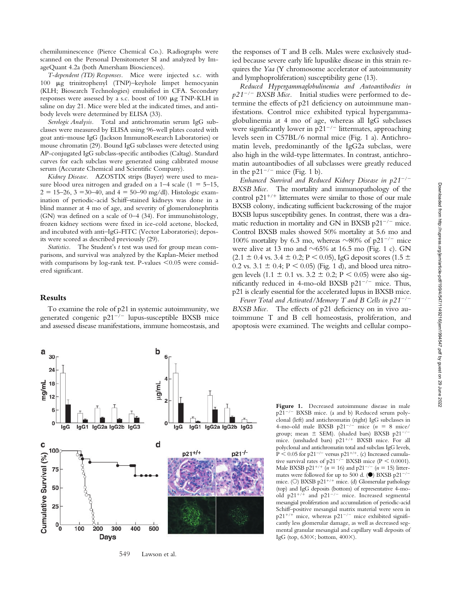chemiluminescence (Pierce Chemical Co.). Radiographs were scanned on the Personal Densitometer SI and analyzed by ImageQuant 4.2a (both Amersham Biosciences).

*T-dependent (TD) Responses.* Mice were injected s.c. with 100  $\mu$ g trinitrophenyl (TNP)–keyhole limpet hemocyanin (KLH; Biosearch Technologies) emulsified in CFA. Secondary responses were assessed by a s.c. boost of  $100 \mu g$  TNP-KLH in saline on day 21. Mice were bled at the indicated times, and antibody levels were determined by ELISA (33).

*Serologic Analysis.* Total and antichromatin serum IgG subclasses were measured by ELISA using 96-well plates coated with goat anti–mouse IgG (Jackson ImmunoResearch Laboratories) or mouse chromatin (29). Bound IgG subclasses were detected using AP-conjugated IgG subclass-specific antibodies (Caltag). Standard curves for each subclass were generated using calibrated mouse serum (Accurate Chemical and Scientific Company).

*Kidney Disease.* AZOSTIX strips (Bayer) were used to measure blood urea nitrogen and graded on a  $1-4$  scale ( $1 = 5-15$ ,  $2 = 15-26$ ,  $3 = 30-40$ , and  $4 = 50-90$  mg/dl). Histologic examination of periodic-acid Schiff–stained kidneys was done in a blind manner at 4 mo of age, and severity of glomerulonephritis (GN) was defined on a scale of 0–4 (34). For immunohistology, frozen kidney sections were fixed in ice-cold acetone, blocked, and incubated with anti–IgG-FITC (Vector Laboratories); deposits were scored as described previously (29).

*Statistics.* The Student's *t* test was used for group mean comparisons, and survival was analyzed by the Kaplan-Meier method with comparisons by log-rank test. P-values  $\leq 0.05$  were considered significant.

### **Results**

To examine the role of p21 in systemic autoimmunity, we generated congenic p21<sup>-/-</sup> lupus-susceptible BXSB mice and assessed disease manifestations, immune homeostasis, and the responses of T and B cells. Males were exclusively studied because severe early life lupuslike disease in this strain requires the *Yaa* (Y chromosome accelerator of autoimmunity and lymphoproliferation) susceptibility gene (13).

*Reduced Hypergammaglobulinemia and Autoantibodies in p21*-*/*- *BXSB Mice.* Initial studies were performed to determine the effects of p21 deficiency on autoimmune manifestations. Control mice exhibited typical hypergammaglobulinemia at 4 mo of age, whereas all IgG subclasses were significantly lower in  $p21^{-/-}$  littermates, approaching levels seen in C57BL/6 normal mice (Fig. 1 a). Antichromatin levels, predominantly of the IgG2a subclass, were also high in the wild-type littermates. In contrast, antichromatin autoantibodies of all subclasses were greatly reduced in the  $p21^{-/-}$  mice (Fig. 1 b).

Enhanced Survival and Reduced Kidney Disease in  $p21^{-/-}$ *BXSB Mice.* The mortality and immunopathology of the control  $p21^{+/+}$  littermates were similar to those of our male BXSB colony, indicating sufficient backcrossing of the major BXSB lupus susceptibility genes. In contrast, there was a dramatic reduction in mortality and GN in BXSB p21<sup>-/-</sup> mice. Control BXSB males showed 50% mortality at 5.6 mo and 100% mortality by 6.3 mo, whereas  $\sim$ 80% of p21<sup>-/-</sup> mice were alive at 13 mo and  $\sim$  65% at 16.5 mo (Fig. 1 c). GN  $(2.1 \pm 0.4 \text{ vs. } 3.4 \pm 0.2; P \le 0.05)$ , IgG deposit scores  $(1.5 \pm 0.4 \text{ vs. } 3.4 \pm 0.2; P \le 0.05)$ 0.2 vs.  $3.1 \pm 0.4$ ; P < 0.05) (Fig. 1 d), and blood urea nitrogen levels  $(1.1 \pm 0.1 \text{ vs. } 3.2 \pm 0.2; P < 0.05)$  were also sigmificantly reduced in 4-mo-old BXSB  $p21^{-/-}$  mice. Thus, p21 is clearly essential for the accelerated lupus in BXSB mice.

*Fewer Total and Activated/Memory T and B Cells in p21*-*/*- *BXSB Mice.* The effects of p21 deficiency on in vivo autoimmune T and B cell homeostasis, proliferation, and apoptosis were examined. The weights and cellular compo-



549 Lawson et al.

**Figure 1.** Decreased autoimmune disease in male p21-/- BXSB mice. (a and b) Reduced serum polyclonal (left) and antichromatin (right) IgG subclasses in 4-mo-old male BXSB  $p21^{-/-}$  mice  $(n = 8$  mice/ group; mean  $\pm$  SEM). (shaded bars) BXSB p21<sup>-</sup> /mice. (unshaded bars)  $p21^{+/+}$  BXSB mice. For all polyclonal and antichromatin total and subclass IgG levels,  $P < 0.05$  for p21<sup>-/-</sup> versus p21<sup>+/+</sup>. (c) Increased cumulative survival rates of  $p21^{-/-}$  BXSB mice (P < 0.0001). Male BXSB p21<sup>+/+</sup> ( $n = 16$ ) and p21<sup>-/-</sup> ( $n = 15$ ) littermates were followed for up to 500 d.  $(\bullet)$  BXSB p21<sup>-/-</sup> mice. (O) BXSB p21<sup>+/+</sup> mice. (d) Glomerular pathology (top) and IgG deposits (bottom) of representative 4-moold  $p21^{+/+}$  and  $p21^{-/-}$  mice. Increased segmental mesangial proliferation and accumulation of periodic-acid Schiff–positive mesangial matrix material were seen in  $p21^{+/+}$  mice, whereas  $p21^{-/-}$  mice exhibited significantly less glomerular damage, as well as decreased segmental granular mesangial and capillary wall deposits of IgG (top,  $630\times$ ; bottom,  $400\times$ ).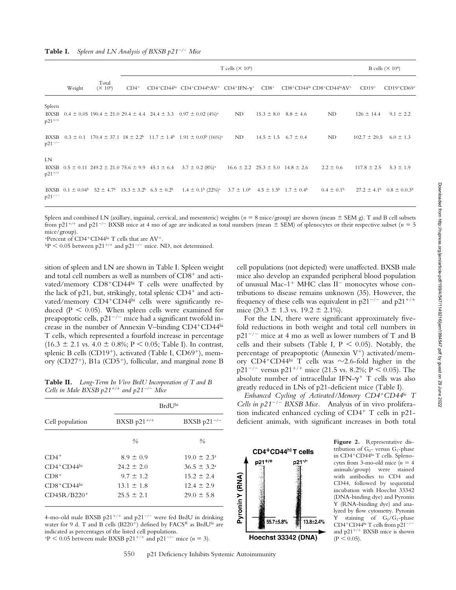|                               |        |                     |         | T cells ( $\times$ 10 <sup>6</sup> )                               |                                                                                                                                                                                                          |    |  |                                              |                                                                | B cells ( $\times$ 10 <sup>6</sup> ) |                                                     |
|-------------------------------|--------|---------------------|---------|--------------------------------------------------------------------|----------------------------------------------------------------------------------------------------------------------------------------------------------------------------------------------------------|----|--|----------------------------------------------|----------------------------------------------------------------|--------------------------------------|-----------------------------------------------------|
|                               | Weight | Total<br>$(X 10^6)$ | $CD4^+$ |                                                                    | $CD4^+CD44^{\text{hi}}$ $CD4^+CD44^{\text{hi}}AV^+$ $CD4^+IFN-\gamma^+$ $CD8^+$                                                                                                                          |    |  |                                              | CD8 <sup>+</sup> CD44hi CD8 <sup>+</sup> CD44hiAV <sup>+</sup> | $CD19+$                              | $CD19+CD69+$                                        |
| Spleen<br>BXSB<br>$p21^{+/+}$ |        |                     |         |                                                                    | $0.4 \pm 0.05$ 190.4 $\pm$ 21.0 29.4 $\pm$ 4.4 24.4 $\pm$ 3.3 0.97 $\pm$ 0.02 (4%) <sup>a</sup>                                                                                                          | ND |  | $15.3 \pm 8.0$ $8.8 \pm 4.6$                 | ND                                                             | $126 \pm 14.4$                       | $9.1 \pm 2.2$                                       |
| BXSB<br>$p21^{-/-}$           |        |                     |         |                                                                    | $0.3 \pm 0.1$ 170.4 $\pm$ 37.1 18 $\pm$ 2.2 <sup>b</sup> 11.7 $\pm$ 1.4 <sup>b</sup> 1.91 $\pm$ 0.03 <sup>b</sup> (16%) <sup>a</sup>                                                                     | ND |  | $14.5 \pm 1.5$ 6.7 $\pm$ 0.4                 | ND                                                             | $102.7 \pm 20.5$ 6.0 $\pm$ 1.3       |                                                     |
| LN<br>$p21^{+/+}$             |        |                     |         | BXSB $0.5 \pm 0.11$ 249.2 $\pm$ 21.0 75.6 $\pm$ 9.9 45.1 $\pm$ 6.4 | $3.7 \pm 0.2$ (8%) <sup>a</sup>                                                                                                                                                                          |    |  | $16.6 \pm 2.2$ $25.3 \pm 5.0$ $14.8 \pm 2.6$ | $2.2 \pm 0.6$                                                  | $117.8 \pm 2.5$                      | $5.3 \pm 1.9$                                       |
| $p21^{-/-}$                   |        |                     |         |                                                                    | BXSB $0.1 \pm 0.04^{\circ}$ 52 $\pm 4.7^{\circ}$ 15.3 $\pm 3.2^{\circ}$ 6.5 $\pm 0.2^{\circ}$ 1.4 $\pm 0.1^{\circ}$ (22%) <sup>3</sup> 3.7 $\pm 1.0^{\circ}$ 4.5 $\pm 1.5^{\circ}$ 1.7 $\pm 0.4^{\circ}$ |    |  |                                              | $0.4 \pm 0.1^{\circ}$                                          |                                      | $27.2 \pm 4.1^{\circ}$ 0.8 $\pm$ 0.0.3 <sup>b</sup> |

Spleen and combined LN (axillary, inguinal, cervical, and mesenteric) weights ( $n = 8$  mice/group) are shown (mean  $\pm$  SEM g). T and B cell subsets from p21<sup>+/+</sup> and p21<sup>-/-</sup> BXSB mice at 4 mo of age are indicated as total numbers (mean  $\pm$  SEM) of splenocytes or their respective subset ( $n = 5$ mice/group).

<sup>a</sup>Percent of CD4<sup>+</sup>CD44<sup>hi</sup> T cells that are  $AV^+$ .

 $bP < 0.05$  between p21<sup>+/+</sup> and p21<sup>-/-</sup> mice. ND, not determined.

sition of spleen and LN are shown in Table I. Spleen weight and total cell numbers as well as numbers of  $CD8<sup>+</sup>$  and activated/memory CD8+CD44hi T cells were unaffected by the lack of p21, but, strikingly, total splenic  $CD4^+$  and activated/memory CD4<sup>+</sup>CD44hi cells were significantly reduced ( $P < 0.05$ ). When spleen cells were examined for preapoptotic cells,  $p21^{-/-}$  mice had a significant twofold increase in the number of Annexin V-binding CD4<sup>+</sup>CD44hi T cells, which represented a fourfold increase in percentage  $(16.3 \pm 2.1 \text{ vs. } 4.0 \pm 0.8\%; P \le 0.05; \text{ Table I}).$  In contrast, splenic B cells (CD19<sup>+</sup>), activated (Table I, CD69<sup>+</sup>), memory  $(CD27<sup>+</sup>)$ , B1a  $(CD5<sup>+</sup>)$ , follicular, and marginal zone B

**Table II.** *Long-Term In Vivo BrdU Incorporation of T and B Cells in Male BXSB*  $p21^{+/+}$  *and*  $p21^{-/-}$  *Mice* 

|                 | BrdU <sup>hi</sup> |                        |  |  |  |
|-----------------|--------------------|------------------------|--|--|--|
| Cell population | BXSB $p21^{+/+}$   | BXSB $p21^{-/-}$       |  |  |  |
|                 | $\frac{0}{0}$      | $\frac{0}{0}$          |  |  |  |
| $CD4^+$         | $8.9 \pm 0.9$      | $19.0 \pm 2.3^{\circ}$ |  |  |  |
| $CD4+CD44$ hi   | $24.2 \pm 2.0$     | $36.5 \pm 3.2^{\circ}$ |  |  |  |
| $CD8+$          | $9.7 \pm 1.2$      | $15.2 \pm 2.4$         |  |  |  |
| $CD8+CD44hi$    | $13.1 \pm 1.8$     | $12.4 \pm 2.9$         |  |  |  |
| $CD45R/B220+$   | $25.5 \pm 2.1$     | $29.0 \pm 5.8$         |  |  |  |

4-mo-old male BXSB p21<sup>+/+</sup> and p21<sup>-/-</sup> were fed BrdU in drinking water for 9 d. T and B cells (B220<sup>+</sup>) defined by  $FACS^{\circledast}$  as BrdU<sup>hi</sup> are indicated as percentages of the listed cell populations.

 $P^2 > 0.05$  between male BXSB p21<sup>+/+</sup> and p21<sup>-/-</sup> mice (*n* = 3).

550 p21 Deficiency Inhibits Systemic Autoimmunity

cell populations (not depicted) were unaffected. BXSB male mice also develop an expanded peripheral blood population of unusual Mac-1<sup>+</sup> MHC class II<sup>-</sup> monocytes whose contributions to disease remains unknown (35). However, the frequency of these cells was equivalent in  $p21^{-/-}$  and  $p21^{+/+}$ mice  $(20.3 \pm 1.3 \text{ vs. } 19.2 \pm 2.1\%)$ .

For the LN, there were significant approximately fivefold reductions in both weight and total cell numbers in p21-/- mice at 4 mo as well as lower numbers of T and B cells and their subsets (Table I,  $P < 0.05$ ). Notably, the percentage of preapoptotic (Annexin  $V^+$ ) activated/memory  $CD4+CD4<sup>hi</sup>$  T cells was  $\sim$ 2.6-fold higher in the p21<sup>-/-</sup> versus p21<sup>+/+</sup> mice (21.5 vs. 8.2%; P < 0.05). The absolute number of intracellular IFN- $\gamma^+$  T cells was also greatly reduced in LNs of p21-deficient mice (Table I).

*Enhanced Cycling of Activated/Memory CD4CD44hi T Cells in p21*-*/*- *BXSB Mice.* Analysis of in vivo proliferation indicated enhanced cycling of  $CD4^+$  T cells in p21deficient animals, with significant increases in both total



**Figure 2.** Representative distribution of  $G_0$ - versus  $G_1$ -phase in CD4<sup>+</sup>CD44hi T cells. Splenocytes from 3-mo-old mice  $(n = 4)$ animals/group) were stained with antibodies to CD4 and CD44, followed by sequential incubation with Hoechst 33342 (DNA-binding dye) and Pyronin Y (RNA-binding dye) and analyzed by flow cytometry. Pyronin Y staining of  $G_0/G_1$ -phase CD4<sup>+</sup>CD44hi T cells from  $p21^{-/-}$ and  $p21^{+/+}$  BXSB mice is shown  $(P < 0.05)$ .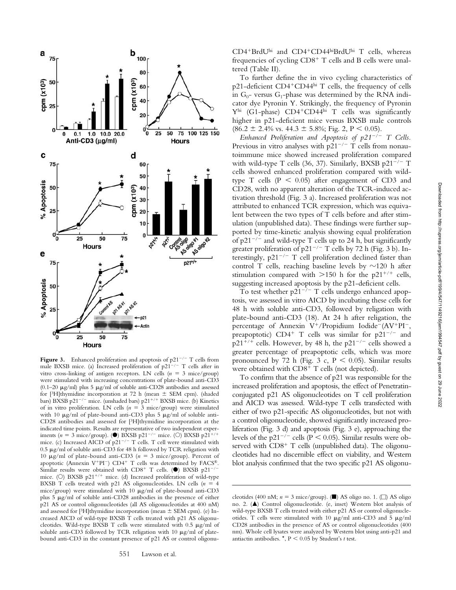

**Figure 3.** Enhanced proliferation and apoptosis of  $p21^{-/-}$  T cells from male BXSB mice. (a) Increased proliferation of  $p21^{-/-}$  T cells after in vitro cross-linking of antigen receptors. LN cells  $(n = 3$  mice/group) were stimulated with increasing concentrations of plate-bound anti-CD3 (0.1–20  $\mu$ g/ml) plus 5  $\mu$ g/ml of soluble anti-CD28 antibodies and assessed for [3H]thymidine incorporation at 72 h (mean  $\pm$  SEM cpm). (shaded bars) BXSB p21<sup>-/-</sup> mice. (unshaded bars) p21<sup>+/+</sup> BXSB mice. (b) Kinetics of in vitro proliferation. LN cells  $(n = 3$  mice/group) were stimulated with 10  $\mu$ g/ml of plate-bound anti-CD3 plus 5  $\mu$ g/ml of soluble anti-CD28 antibodies and assessed for [3H]thymidine incorporation at the indicated time points. Results are representative of two independent experiments ( $n = 3$  mice/group). ( $\bullet$ ) BXSB p21<sup>-/-</sup> mice. (O) BXSB p21<sup>+/+</sup> mice. (c) Increased AICD of p21<sup>-/-</sup> T cells. T cell were stimulated with  $0.5 \ \mu$ g/ml of soluble anti-CD3 for 48 h followed by TCR religation with 10  $\mu$ g/ml of plate-bound anti-CD3 ( $n = 3$  mice/group). Percent of apoptotic (Annexin V<sup>+</sup>PI<sup>-</sup>) CD4<sup>+</sup> T cells was determined by FACS®. Similar results were obtained with  $CD8^+$  T cells. ( $\bullet$ ) BXSB p21<sup>-/-</sup> mice. (O) BXSB p21<sup>+/+</sup> mice. (d) Increased proliferation of wild-type BXSB T cells treated with p21 AS oligonucleotides. LN cells  $(n = 4)$ mice/group) were stimulated with 10  $\mu$ g/ml of plate-bound anti-CD3 plus  $5 \mu g/ml$  of soluble anti-CD28 antibodies in the presence of either p21 AS or control oligonucleotides (all AS oligonucleotides at 400 nM) and assessed for  $[3H]$ thymidine incorporation (mean  $\pm$  SEM cpm). (e) Increased AICD of wild-type BXSB T cells treated with p21 AS oligonucleotides. Wild-type BXSB T cells were stimulated with  $0.5 \mu g/ml$  of soluble anti-CD3 followed by TCR religation with 10  $\mu$ g/ml of platebound anti-CD3 in the constant presence of p21 AS or control oligonu-

CD4<sup>+</sup>BrdU<sup>hi</sup> and CD4<sup>+</sup>CD44hiBrdU<sup>hi</sup> T cells, whereas frequencies of cycling  $CD8<sup>+</sup>$  T cells and B cells were unaltered (Table II).

To further define the in vivo cycling characteristics of p21-deficient CD4<sup>+</sup>CD44<sup>hi</sup> T cells, the frequency of cells in  $G_0$ - versus  $G_1$ -phase was determined by the RNA indicator dye Pyronin Y. Strikingly, the frequency of Pyronin  $Y<sup>hi</sup>$  (G1-phase)  $CD4+CD44<sup>hi</sup>$  T cells was significantly higher in p21-deficient mice versus BXSB male controls  $(86.2 \pm 2.4\% \text{ vs. } 44.3 \pm 5.8\%; \text{ Fig. 2, } P \leq 0.05).$ 

*Enhanced Proliferation and Apoptosis of p21<sup>-/-</sup> T Cells.* Previous in vitro analyses with  $p21^{-/-}$  T cells from nonautoimmune mice showed increased proliferation compared with wild-type T cells (36, 37). Similarly, BXSB p21<sup>-/-</sup> T cells showed enhanced proliferation compared with wildtype T cells ( $P < 0.05$ ) after engagement of CD3 and CD28, with no apparent alteration of the TCR-induced activation threshold (Fig. 3 a). Increased proliferation was not attributed to enhanced TCR expression, which was equivalent between the two types of T cells before and after stimulation (unpublished data). These findings were further supported by time-kinetic analysis showing equal proliferation of  $p21^{-/-}$  and wild-type T cells up to 24 h, but significantly greater proliferation of  $p21^{-/-}$  T cells by 72 h (Fig. 3 b). Interestingly,  $p21^{-/-}$  T cell proliferation declined faster than control T cells, reaching baseline levels by  $\sim$ 120 h after stimulation compared with  $>150$  h for the p21<sup>+/+</sup> cells, suggesting increased apoptosis by the p21-deficient cells.

To test whether  $p21^{-/-}$  T cells undergo enhanced apoptosis, we assessed in vitro AICD by incubating these cells for 48 h with soluble anti-CD3, followed by religation with plate-bound anti-CD3 (18). At 24 h after religation, the percentage of Annexin V<sup>+</sup>/Propidium Iodide<sup>-</sup>(AV<sup>+</sup>PI<sup>-</sup>, preapoptotic)  $CD4^+$  T cells was similar for  $p21^{-/-}$  and  $p21^{+/+}$  cells. However, by 48 h, the  $p21^{-/-}$  cells showed a greater percentage of preapoptotic cells, which was more pronounced by 72 h (Fig. 3 c, P < 0.05). Similar results were obtained with  $CD8<sup>+</sup>$  T cells (not depicted).

To confirm that the absence of p21 was responsible for the increased proliferation and apoptosis, the effect of Penetratinconjugated p21 AS oligonucleotides on T cell proliferation and AICD was assessed. Wild-type T cells transfected with either of two p21-specific AS oligonucleotides, but not with a control oligonucleotide, showed significantly increased proliferation (Fig. 3 d) and apoptosis (Fig. 3 e), approaching the levels of the p21<sup>-/-</sup> cells (P < 0.05). Similar results were observed with  $CD8<sup>+</sup>$  T cells (unpublished data). The oligonucleotides had no discernible effect on viability, and Western blot analysis confirmed that the two specific p21 AS oligonu-

cleotides (400 nM;  $n = 3$  mice/group). ( $\blacksquare$ ) AS oligo no. 1. ( $\Box$ ) AS oligo no. 2. (A) Control oligonucleotide. (e, inset) Western blot analysis of wild-type BXSB T cells treated with either p21 AS or control oligonucleotides. T cells were stimulated with 10  $\mu$ g/ml anti-CD3 and 5  $\mu$ g/ml CD28 antibodies in the presence of AS or control oligonucleotides (400 nm). Whole cell lysates were analyzed by Western blot using anti-p21 and antiactin antibodies.  $\star$ ,  $P < 0.05$  by Student's *t* test.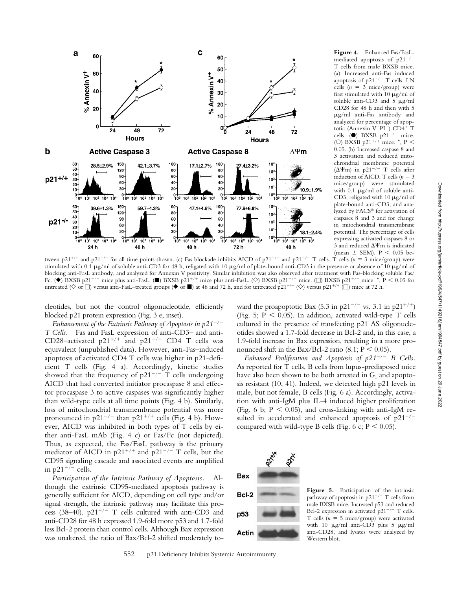

**Figure 4.** Enhanced Fas/FasLmediated apoptosis of p21<sup>-/-</sup> T cells from male BXSB mice. (a) Increased anti-Fas induced apoptosis of  $p21^{-/-}$  T cells. LN cells  $(n = 3$  mice/group) were first stimulated with 10  $\mu$ g/ml of soluble anti-CD3 and  $5 \mu g/ml$ CD28 for 48 h and then with 5 g/ml anti-Fas antibody and analyzed for percentage of apoptotic (Annexin V<sup>+</sup>PI<sup>-</sup>) CD4<sup>+</sup> T cells. ( $\bullet$ ) BXSB p21<sup>-/-</sup> mice. (O) BXSB p21<sup>+/+</sup> mice. \*, P < 0.05. (b) Increased caspase 8 and 3 activation and reduced mitochrondrial membrane potential ( $\Delta \Psi$ m) in p21<sup>-/-</sup> T cells after induction of AICD. T cells  $(n = 3)$ mice/group) were stimulated with 0.1  $\mu$ g/ml of soluble anti-CD3, religated with 10  $\mu$ g/ml of plate-bound anti-CD3, and analyzed by FACS® for activation of caspases 8 and 3 and for change in mitochondrial transmembrane potential. The percentage of cells expressing activated caspases 8 or 3 and reduced  $\Delta\Psi$ m is indicated (mean  $\pm$  SEM). P < 0.05 be-

tween  $p21^{+/+}$  and  $p21^{-/-}$  for all time points shown. (c) Fas blockade inhibits AICD of  $p21^{+/+}$  and  $p21^{-/-}$  T cells. T cells ( $n = 3$  mice/group) were stimulated with 0.1 µg/ml of soluble anti-CD3 for 48 h, religated with 10 µg/ml of plate-bound anti-CD3 in the presence or absence of 10 µg/ml of blocking anti-FasL antibody, and analyzed for Annexin V positivity. Similar inhibition was also observed after treatment with Fas-blocking soluble Fas/ Fc. ( $\blacklozenge$ ) BXSB p21<sup>-/-</sup> mice plus anti-FasL. ( $\blacksquare$ ) BXSB p21<sup>+/+</sup> mice plus anti-FasL. ( $\heartsuit$ ) BXSB p21<sup>-/-</sup> mice. ( $\Box$ ) BXSB p21<sup>+/+</sup> mice. \*, P < 0.05 for untreated ( $\Diamond$  or  $\Box$ ) versus anti-FasL–treated groups ( $\blacklozenge$  or  $\blacksquare$ ) at 48 and 72 h, and for untreated p21<sup>-/-</sup> ( $\Diamond$ ) versus p21<sup>+/+</sup> ( $\Box$ ) mice at 72 h.

cleotides, but not the control oligonucleotide, efficiently blocked p21 protein expression (Fig. 3 e, inset).

*Enhancement of the Extrinsic Pathway of Apoptosis in p21<sup>-/-</sup> T Cells.* Fas and FasL expression of anti-CD3– and anti-CD28-activated  $p21^{+/+}$  and  $p21^{-/-}$  CD4 T cells was equivalent (unpublished data). However, anti-Fas–induced apoptosis of activated CD4 T cells was higher in p21-deficient T cells (Fig. 4 a). Accordingly, kinetic studies showed that the frequency of  $p21^{-/-}$  T cells undergoing AICD that had converted initiator procaspase 8 and effector procaspase 3 to active caspases was significantly higher than wild-type cells at all time points (Fig. 4 b). Similarly, loss of mitochondrial transmembrane potential was more pronounced in p21<sup>-/-</sup> than p21<sup>+/+</sup> cells (Fig. 4 b). However, AICD was inhibited in both types of T cells by either anti-FasL mAb (Fig. 4 c) or Fas/Fc (not depicted). Thus, as expected, the Fas/FasL pathway is the primary mediator of AICD in p21<sup>+/+</sup> and p21<sup>-/-</sup> T cells, but the CD95 signaling cascade and associated events are amplified in  $p21^{-/-}$  cells.

*Participation of the Intrinsic Pathway of Apoptosis.* Although the extrinsic CD95-mediated apoptosis pathway is generally sufficient for AICD, depending on cell type and/or signal strength, the intrinsic pathway may facilitate this process (38-40).  $p21^{-/-}$  T cells cultured with anti-CD3 and anti-CD28 for 48 h expressed 1.9-fold more p53 and 1.7-fold less Bcl-2 protein than control cells. Although Bax expression was unaltered, the ratio of Bax/Bcl-2 shifted moderately to-

ward the proapoptotic Bax  $(5.3 \text{ in } p21^{-/-} \text{ vs. } 3.1 \text{ in } p21^{+/+})$ (Fig. 5;  $P < 0.05$ ). In addition, activated wild-type T cells cultured in the presence of transfecting p21 AS oligonucleotides showed a 1.7-fold decrease in Bcl-2 and, in this case, a 1.9-fold increase in Bax expression, resulting in a more pronounced shift in the Bax/Bcl-2 ratio  $(8.1; P \le 0.05)$ .

*Enhanced Proliferation and Apoptosis of p21*-*/*- *B Cells.* As reported for T cells, B cells from lupus-predisposed mice have also been shown to be both arrested in  $G_1$  and apoptosis resistant (10, 41). Indeed, we detected high p21 levels in male, but not female, B cells (Fig. 6 a). Accordingly, activation with anti-IgM plus IL-4 induced higher proliferation (Fig. 6 b;  $P < 0.05$ ), and cross-linking with anti-IgM resulted in accelerated and enhanced apoptosis of  $p21^{-/-}$ compared with wild-type B cells (Fig. 6 c;  $P \le 0.05$ ).



Figure 5. Participation of the intrinsic pathway of apoptosis in p21<sup>-/-</sup> T cells from male BXSB mice. Increased p53 and reduced Bcl-2 expression in activated  $p21^{-/-}$  T cells. T cells ( $n = 5$  mice/group) were activated with 10  $\mu$ g/ml anti-CD3 plus 5  $\mu$ g/ml anti-CD28, and lysates were analyzed by Western blot.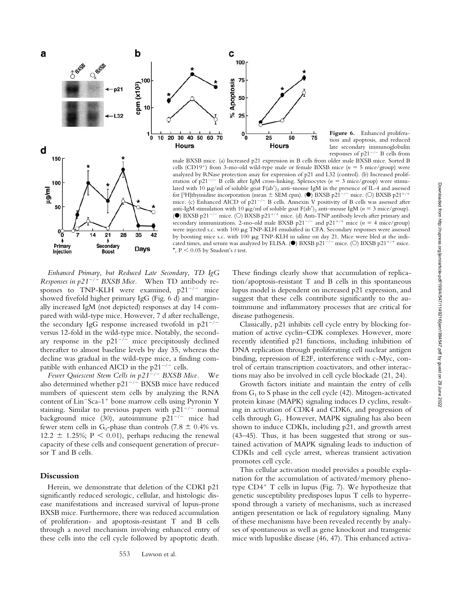

**Figure 6.** Enhanced proliferation and apoptosis, and reduced late secondary immunoglobulin responses of  $p21^{-/-}$  B cells from

150 100 lm/gu 50 စ္ပဲ  $\overline{21}$ 28 35 14 42 ٠ Primary Secondary Days Injection **Boost** 

male BXSB mice. (a) Increased p21 expression in B cells from older male BXSB mice. Sorted B cells (CD19<sup>+</sup>) from 3-mo-old wild-type male or female BXSB mice ( $n = 5$  mice/group) were analyzed by RNase protection assay for expression of p21 and L32 (control). (b) Increased proliferation of  $p21^{-/-}$  B cells after IgM cross-linking. Splenocytes ( $n = 3$  mice/group) were stimulated with 10  $\mu$ g/ml of soluble goat F(ab')<sub>2</sub> anti-mouse IgM in the presence of IL-4 and assessed for [3H]thymidine incorporation (mean  $\pm$  SEM cpm). ( $\bullet$ ) BXSB p21<sup>-/-</sup> mice. (O) BXSB p21<sup>+/+</sup> mice. (c) Enhanced AICD of p21<sup>-/-</sup> B cells. Annexin V positivity of B cells was assessed after anti-IgM stimulation with 10  $\mu$ g/ml of soluble goat F(ab')<sub>2</sub> anti-mouse IgM ( $n = 3$  mice/group). ( $\bullet$ ) BXSB p21<sup>-/-</sup> mice. (O) BXSB p21<sup>+/+</sup> mice. (d) Anti-TNP antibody levels after primary and secondary immunizations. 2-mo-old male BXSB  $p21^{-/-}$  and  $p21^{+/+}$  mice  $(n = 4$  mice/group) were injected s.c. with 100 µg TNP-KLH emulsified in CFA. Secondary responses were assessed by boosting mice s.c. with 100  $\mu$ g TNP-KLH in saline on day 21. Mice were bled at the indicated times, and serum was analyzed by ELISA. ( $\bullet$ ) BXSB p21<sup>-/-</sup> mice. (O) BXSB p21<sup>+/+</sup> mice.  $\star$ , P  $\leq$  0.05 by Student's *t* test.

*Enhanced Primary, but Reduced Late Secondary, TD IgG Responses in p21*-*/*- *BXSB Mice.* When TD antibody responses to TNP-KLH were examined,  $p21^{-/-}$  mice showed fivefold higher primary IgG (Fig. 6 d) and marginally increased IgM (not depicted) responses at day 14 compared with wild-type mice. However, 7 d after rechallenge, the secondary IgG response increased twofold in  $p21^{-/-}$ versus 12-fold in the wild-type mice. Notably, the secondary response in the  $p21^{-/-}$  mice precipitously declined thereafter to almost baseline levels by day 35, whereas the decline was gradual in the wild-type mice, a finding compatible with enhanced AICD in the  $p21^{-/-}$  cells.

*Fewer Quiescent Stem Cells in p21*-*/*- *BXSB Mice.* We also determined whether  $p21^{-/-}$  BXSB mice have reduced numbers of quiescent stem cells by analyzing the RNA content of Lin<sup>-</sup>Sca-1<sup>+</sup> bone marrow cells using Pyronin Y staining. Similar to previous papers with  $p21^{-/-}$  normal background mice (30), autoimmune  $p21^{-/-}$  mice had fewer stem cells in G<sub>0</sub>-phase than controls (7.8  $\pm$  0.4% vs. 12.2  $\pm$  1.25%; P < 0.01), perhaps reducing the renewal capacity of these cells and consequent generation of precursor T and B cells.

## **Discussion**

Herein, we demonstrate that deletion of the CDKI p21 significantly reduced serologic, cellular, and histologic disease manifestations and increased survival of lupus-prone BXSB mice. Furthermore, there was reduced accumulation of proliferation- and apoptosis-resistant T and B cells through a novel mechanism involving enhanced entry of these cells into the cell cycle followed by apoptotic death.

These findings clearly show that accumulation of replication/apoptosis-resistant T and B cells in this spontaneous lupus model is dependent on increased p21 expression, and suggest that these cells contribute significantly to the autoimmune and inflammatory processes that are critical for disease pathogenesis.

Classically, p21 inhibits cell cycle entry by blocking formation of active cyclin–CDK complexes. However, more recently identified p21 functions, including inhibition of DNA replication through proliferating cell nuclear antigen binding, repression of E2F, interference with c-Myc, control of certain transcription coactivators, and other interactions may also be involved in cell cycle blockade (21, 24).

Growth factors initiate and maintain the entry of cells from  $G_1$  to S phase in the cell cycle (42). Mitogen-activated protein kinase (MAPK) signaling induces D cyclins, resulting in activation of CDK4 and CDK6, and progression of cells through  $G_1$ . However, MAPK signaling has also been shown to induce CDKIs, including p21, and growth arrest (43–45). Thus, it has been suggested that strong or sustained activation of MAPK signaling leads to induction of CDKIs and cell cycle arrest, whereas transient activation promotes cell cycle.

This cellular activation model provides a possible explanation for the accumulation of activated/memory phenotype  $CD4^+$  T cells in lupus (Fig. 7). We hypothesize that genetic susceptibility predisposes lupus T cells to hyperrespond through a variety of mechanisms, such as increased antigen presentation or lack of regulatory signaling. Many of these mechanisms have been revealed recently by analyses of spontaneous as well as gene knockout and transgenic mice with lupuslike disease (46, 47). This enhanced activa-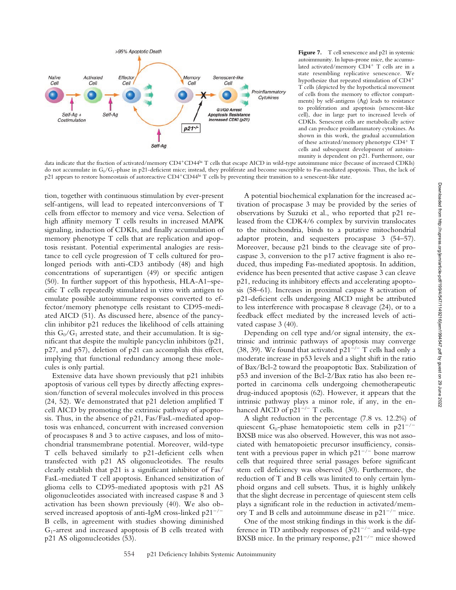

Figure 7. T cell senescence and p21 in systemic autoimmunity. In lupus-prone mice, the accumulated activated/memory CD4<sup>+</sup> T cells are in a state resembling replicative senescence. We hypothesize that repeated stimulation of CD4 T cells (depicted by the hypothetical movement of cells from the memory to effector compartments) by self-antigens (Ag) leads to resistance to proliferation and apoptosis (senescent-like cell), due in large part to increased levels of CDKIs. Senescent cells are metabolically active and can produce proinflammatory cytokines. As shown in this work, the gradual accumulation of these activated/memory phenotype CD4+ T cells and subsequent development of autoimmunity is dependent on p21. Furthermore, our

data indicate that the fraction of activated/memory CD4+CD44hi T cells that escape AICD in wild-type autoimmune mice (because of increased CDKIs) do not accumulate in  $G_0/G_1$ -phase in p21-deficient mice; instead, they proliferate and become susceptible to Fas-mediated apoptosis. Thus, the lack of p21 appears to restore homeostasis of autoreactive CD4<sup>+</sup>CD44<sup>hi</sup> T cells by preventing their transition to a senescent-like state.

tion, together with continuous stimulation by ever-present self-antigens, will lead to repeated interconversions of T cells from effector to memory and vice versa. Selection of high affinity memory T cells results in increased MAPK signaling, induction of CDKIs, and finally accumulation of memory phenotype T cells that are replication and apoptosis resistant. Potential experimental analogies are resistance to cell cycle progression of T cells cultured for prolonged periods with anti-CD3 antibody (48) and high concentrations of superantigen (49) or specific antigen (50). In further support of this hypothesis, HLA-A1–specific T cells repeatedly stimulated in vitro with antigen to emulate possible autoimmune responses converted to effector/memory phenotype cells resistant to CD95-mediated AICD (51). As discussed here, absence of the pancyclin inhibitor p21 reduces the likelihood of cells attaining this  $G_0/G_1$  arrested state, and their accumulation. It is significant that despite the multiple pancyclin inhibitors (p21, p27, and p57), deletion of p21 can accomplish this effect, implying that functional redundancy among these molecules is only partial.

Extensive data have shown previously that p21 inhibits apoptosis of various cell types by directly affecting expression/function of several molecules involved in this process (24, 52). We demonstrated that p21 deletion amplified T cell AICD by promoting the extrinsic pathway of apoptosis. Thus, in the absence of p21, Fas/FasL-mediated apoptosis was enhanced, concurrent with increased conversion of procaspases 8 and 3 to active caspases, and loss of mitochondrial transmembrane potential. Moreover, wild-type T cells behaved similarly to p21-deficient cells when transfected with p21 AS oligonucleotides. The results clearly establish that p21 is a significant inhibitor of Fas/ FasL-mediated T cell apoptosis. Enhanced sensitization of glioma cells to CD95-mediated apoptosis with p21 AS oligonucleotides associated with increased caspase 8 and 3 activation has been shown previously (40). We also observed increased apoptosis of anti-IgM cross-linked  $p21^{-/-}$ B cells, in agreement with studies showing diminished  $G_1$ -arrest and increased apoptosis of B cells treated with p21 AS oligonucleotides (53).

A potential biochemical explanation for the increased activation of procaspase 3 may be provided by the series of observations by Suzuki et al., who reported that p21 released from the CDK4/6 complex by survivin translocates to the mitochondria, binds to a putative mitochondrial adaptor protein, and sequesters procaspase 3 (54–57). Moreover, because p21 binds to the cleavage site of procaspase 3, conversion to the p17 active fragment is also reduced, thus impeding Fas-mediated apoptosis. In addition, evidence has been presented that active caspase 3 can cleave p21, reducing its inhibitory effects and accelerating apoptosis (58–61). Increases in proximal caspase 8 activation of p21-deficient cells undergoing AICD might be attributed to less interference with procaspase 8 cleavage (24), or to a feedback effect mediated by the increased levels of activated caspase 3 (40).

Depending on cell type and/or signal intensity, the extrinsic and intrinsic pathways of apoptosis may converge (38, 39). We found that activated  $p21^{-/-}$  T cells had only a moderate increase in p53 levels and a slight shift in the ratio of Bax/Bcl-2 toward the proapoptotic Bax. Stabilization of p53 and inversion of the Bcl-2/Bax ratio has also been reported in carcinoma cells undergoing chemotherapeutic drug-induced apoptosis (62). However, it appears that the intrinsic pathway plays a minor role, if any, in the enhanced AICD of  $p21^{-/-}$  T cells.

A slight reduction in the percentage (7.8 vs. 12.2%) of quiescent G<sub>0</sub>-phase hematopoietic stem cells in  $p21^{-/-}$ BXSB mice was also observed. However, this was not associated with hematopoietic precursor insufficiency, consistent with a previous paper in which  $p21^{-/-}$  bone marrow cells that required three serial passages before significant stem cell deficiency was observed (30). Furthermore, the reduction of T and B cells was limited to only certain lymphoid organs and cell subsets. Thus, it is highly unlikely that the slight decrease in percentage of quiescent stem cells plays a significant role in the reduction in activated/memory T and B cells and autoimmune disease in  $p21^{-/-}$  mice.

One of the most striking findings in this work is the difference in TD antibody responses of  $p21^{-/-}$  and wild-type BXSB mice. In the primary response,  $p21^{-/-}$  mice showed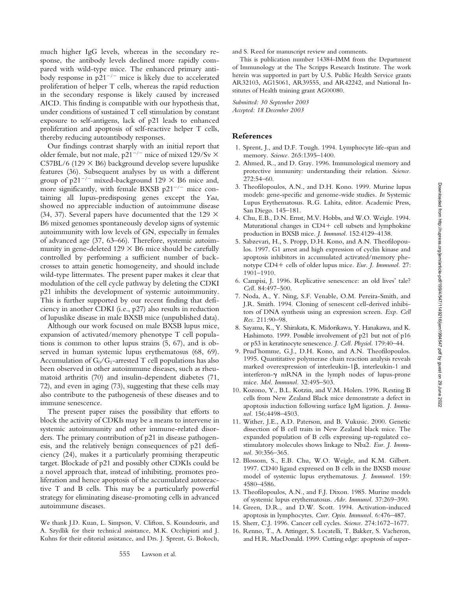much higher IgG levels, whereas in the secondary response, the antibody levels declined more rapidly compared with wild-type mice. The enhanced primary antibody response in  $p21^{-/-}$  mice is likely due to accelerated proliferation of helper T cells, whereas the rapid reduction in the secondary response is likely caused by increased AICD. This finding is compatible with our hypothesis that, under conditions of sustained T cell stimulation by constant exposure to self-antigens, lack of p21 leads to enhanced proliferation and apoptosis of self-reactive helper T cells, thereby reducing autoantibody responses.

Our findings contrast sharply with an initial report that older female, but not male, p21<sup>-/-</sup> mice of mixed 129/Sv  $\times$  $C57BL/6$  (129  $\times$  B6) background develop severe lupuslike features (36). Subsequent analyses by us with a different group of p21<sup>-/-</sup> mixed-background 129  $\times$  B6 mice and, more significantly, with female BXSB  $p21^{-/-}$  mice containing all lupus-predisposing genes except the *Yaa*, showed no appreciable induction of autoimmune disease (34, 37). Several papers have documented that the 129  $\times$ B6 mixed genomes spontaneously develop signs of systemic autoimmunity with low levels of GN, especially in females of advanced age (37, 63–66). Therefore, systemic autoimmunity in gene-deleted  $129 \times B6$  mice should be carefully controlled by performing a sufficient number of backcrosses to attain genetic homogeneity, and should include wild-type littermates. The present paper makes it clear that modulation of the cell cycle pathway by deleting the CDKI p21 inhibits the development of systemic autoimmunity. This is further supported by our recent finding that deficiency in another CDKI (i.e., p27) also results in reduction of lupuslike disease in male BXSB mice (unpublished data).

Although our work focused on male BXSB lupus mice, expansion of activated/memory phenotype T cell populations is common to other lupus strains (5, 67), and is observed in human systemic lupus erythematosus (68, 69). Accumulation of  $G_0/G_1$ -arrested T cell populations has also been observed in other autoimmune diseases, such as rheumatoid arthritis (70) and insulin-dependent diabetes (71, 72), and even in aging (73), suggesting that these cells may also contribute to the pathogenesis of these diseases and to immune senescence.

The present paper raises the possibility that efforts to block the activity of CDKIs may be a means to intervene in systemic autoimmunity and other immune-related disorders. The primary contribution of p21 in disease pathogenesis, and the relatively benign consequences of p21 deficiency (24), makes it a particularly promising therapeutic target. Blockade of p21 and possibly other CDKIs could be a novel approach that, instead of inhibiting, promotes proliferation and hence apoptosis of the accumulated autoreactive T and B cells. This may be a particularly powerful strategy for eliminating disease-promoting cells in advanced autoimmune diseases.

We thank J.D. Kuan, L. Simpson, V. Clifton, S. Koundouris, and A. Szydlik for their technical assistance, M.K. Occhipinti and J. Kuhns for their editorial assistance, and Drs. J. Sprent, G. Bokoch, and S. Reed for manuscript review and comments.

This is publication number 14384-IMM from the Department of Immunology at the The Scripps Research Institute. The work herein was supported in part by U.S. Public Health Service grants AR32103, AG15061, AR39555, and AR42242, and National Institutes of Health training grant AG00080.

*Submitted: 30 September 2003 Accepted: 18 December 2003*

#### **References**

- 1. Sprent, J., and D.F. Tough. 1994. Lymphocyte life-span and memory. *Science.* 265:1395–1400.
- 2. Ahmed, R., and D. Gray. 1996. Immunological memory and protective immunity: understanding their relation. *Science.* 272:54–60.
- 3. Theofilopoulos, A.N., and D.H. Kono. 1999. Murine lupus models: gene-specific and genome-wide studies. *In* Systemic Lupus Erythematosus. R.G. Lahita, editor. Academic Press, San Diego. 145–181.
- 4. Chu, E.B., D.N. Ernst, M.V. Hobbs, and W.O. Weigle. 1994. Maturational changes in  $CD4+$  cell subsets and lymphokine production in BXSB mice. *J. Immunol.* 152:4129–4138.
- 5. Sabzevari, H., S. Propp, D.H. Kono, and A.N. Theofilopoulos. 1997. G1 arrest and high expression of cyclin kinase and apoptosis inhibitors in accumulated activated/memory phenotype CD4+ cells of older lupus mice. *Eur. J. Immunol.* 27: 1901–1910.
- 6. Campisi, J. 1996. Replicative senescence: an old lives' tale? *Cell.* 84:497–500.
- 7. Noda, A., Y. Ning, S.F. Venable, O.M. Pereira-Smith, and J.R. Smith. 1994. Cloning of senescent cell-derived inhibitors of DNA synthesis using an expression screen. *Exp. Cell Res.* 211:90–98.
- 8. Sayama, K., Y. Shirakata, K. Midorikawa, Y. Hanakawa, and K. Hashimoto. 1999. Possible involvement of p21 but not of p16 or p53 in keratinocyte senescence. *J. Cell. Physiol.* 179:40–44.
- 9. Prud'homme, G.J., D.H. Kono, and A.N. Theofilopoulos. 1995. Quantitative polymerase chain reaction analysis reveals marked overexpression of interleukin-1 $\beta$ , interleukin-1 and interferon- $\gamma$  mRNA in the lymph nodes of lupus-prone mice. *Mol. Immunol.* 32:495–503.
- 10. Kozono, Y., B.L. Kotzin, and V.M. Holers. 1996. Resting B cells from New Zealand Black mice demonstrate a defect in apoptosis induction following surface IgM ligation. *J. Immunol.* 156:4498–4503.
- 11. Wither, J.E., A.D. Paterson, and B. Vukusic. 2000. Genetic dissection of B cell traits in New Zealand black mice. The expanded population of B cells expressing up-regulated costimulatory molecules shows linkage to Nba2. *Eur. J. Immunol.* 30:356–365.
- 12. Blossom, S., E.B. Chu, W.O. Weigle, and K.M. Gilbert. 1997. CD40 ligand expressed on B cells in the BXSB mouse model of systemic lupus erythematosus. *J. Immunol.* 159: 4580–4586.
- 13. Theofilopoulos, A.N., and F.J. Dixon. 1985. Murine models of systemic lupus erythematosus. *Adv. Immunol.* 37:269–390.
- 14. Green, D.R., and D.W. Scott. 1994. Activation-induced apoptosis in lymphocytes. *Curr. Opin. Immunol.* 6:476–487.
- 15. Sherr, C.J. 1996. Cancer cell cycles. *Science.* 274:1672–1677.
- 16. Renno, T., A. Attinger, S. Locatelli, T. Bakker, S. Vacheron, and H.R. MacDonald. 1999. Cutting edge: apoptosis of super-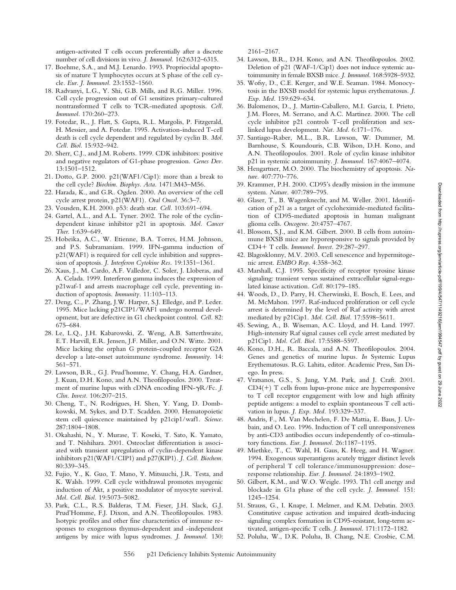antigen-activated T cells occurs preferentially after a discrete number of cell divisions in vivo. *J. Immunol.* 162:6312–6315.

- 17. Boehme, S.A., and M.J. Lenardo. 1993. Propriocidal apoptosis of mature T lymphocytes occurs at S phase of the cell cycle. *Eur. J. Immunol.* 23:1552–1560.
- 18. Radvanyi, L.G., Y. Shi, G.B. Mills, and R.G. Miller. 1996. Cell cycle progression out of G1 sensitizes primary-cultured nontransformed T cells to TCR-mediated apoptosis. *Cell. Immunol.* 170:260–273.
- 19. Fotedar, R., J. Flatt, S. Gupta, R.L. Margolis, P. Fitzgerald, H. Messier, and A. Fotedar. 1995. Activation-induced T-cell death is cell cycle dependent and regulated by cyclin B. *Mol. Cell. Biol.* 15:932–942.
- 20. Sherr, C.J., and J.M. Roberts. 1999. CDK inhibitors: positive and negative regulators of G1-phase progression. *Genes Dev.* 13:1501–1512.
- 21. Dotto, G.P. 2000. p21(WAF1/Cip1): more than a break to the cell cycle? *Biochim. Biophys. Acta.* 1471:M43–M56.
- 22. Harada, K., and G.R. Ogden. 2000. An overview of the cell cycle arrest protein, p21(WAF1). *Oral Oncol.* 36:3–7.
- 23. Vousden, K.H. 2000. p53: death star. *Cell.* 103:691–694.
- 24. Gartel, A.L., and A.L. Tyner. 2002. The role of the cyclindependent kinase inhibitor p21 in apoptosis. *Mol. Cancer Ther.* 1:639–649.
- 25. Hobeika, A.C., W. Etienne, B.A. Torres, H.M. Johnson, and P.S. Subramaniam. 1999. IFN-gamma induction of p21(WAF1) is required for cell cycle inhibition and suppression of apoptosis. *J. Interferon Cytokine Res.* 19:1351–1361.
- 26. Xaus, J., M. Cardo, A.F. Valledor, C. Soler, J. Lloberas, and A. Celada. 1999. Interferon gamma induces the expression of p21waf-1 and arrests macrophage cell cycle, preventing induction of apoptosis. *Immunity.* 11:103–113.
- 27. Deng, C., P. Zhang, J.W. Harper, S.J. Elledge, and P. Leder. 1995. Mice lacking p21CIP1/WAF1 undergo normal development, but are defective in G1 checkpoint control. *Cell.* 82: 675–684.
- 28. Le, L.Q., J.H. Kabarowski, Z. Weng, A.B. Satterthwaite, E.T. Harvill, E.R. Jensen, J.F. Miller, and O.N. Witte. 2001. Mice lacking the orphan G protein-coupled receptor G2A develop a late-onset autoimmune syndrome. *Immunity.* 14: 561–571.
- 29. Lawson, B.R., G.J. Prud'homme, Y. Chang, H.A. Gardner, J. Kuan, D.H. Kono, and A.N. Theofilopoulos. 2000. Treatment of murine lupus with cDNA encoding IFN- $\gamma$ R/Fc. *J. Clin. Invest.* 106:207–215.
- 30. Cheng, T., N. Rodrigues, H. Shen, Y. Yang, D. Dombkowski, M. Sykes, and D.T. Scadden. 2000. Hematopoietic stem cell quiescence maintained by p21cip1/waf1. *Science.* 287:1804–1808.
- 31. Okahashi, N., Y. Murase, T. Koseki, T. Sato, K. Yamato, and T. Nishihara. 2001. Osteoclast differentiation is associated with transient upregulation of cyclin-dependent kinase inhibitors p21(WAF1/CIP1) and p27(KIP1). *J. Cell. Biochem.* 80:339–345.
- 32. Fujio, Y., K. Guo, T. Mano, Y. Mitsuuchi, J.R. Testa, and K. Walsh. 1999. Cell cycle withdrawal promotes myogenic induction of Akt, a positive modulator of myocyte survival. *Mol. Cell. Biol.* 19:5073–5082.
- 33. Park, C.L., R.S. Balderas, T.M. Fieser, J.H. Slack, G.J. Prud'Homme, F.J. Dixon, and A.N. Theofilopoulos. 1983. Isotypic profiles and other fine characteristics of immune responses to exogenous thymus-dependent and -independent antigens by mice with lupus syndromes. *J. Immunol.* 130:

2161–2167.

- 34. Lawson, B.R., D.H. Kono, and A.N. Theofilopoulos. 2002. Deletion of p21 (WAF-1/Cip1) does not induce systemic autoimmunity in female BXSB mice. *J. Immunol.* 168:5928–5932.
- 35. Wofsy, D., C.E. Kerger, and W.E. Seaman. 1984. Monocytosis in the BXSB model for systemic lupus erythematosus. *J. Exp. Med.* 159:629–634.
- 36. Balomenos, D., J. Martin-Caballero, M.I. Garcia, I. Prieto, J.M. Flores, M. Serrano, and A.C. Martinez. 2000. The cell cycle inhibitor p21 controls T-cell proliferation and sexlinked lupus development. *Nat. Med.* 6:171–176.
- 37. Santiago-Raber, M.L., B.R. Lawson, W. Dummer, M. Barnhouse, S. Koundouris, C.B. Wilson, D.H. Kono, and A.N. Theofilopoulos. 2001. Role of cyclin kinase inhibitor p21 in systemic autoimmunity. *J. Immunol.* 167:4067–4074.
- 38. Hengartner, M.O. 2000. The biochemistry of apoptosis. *Nature.* 407:770–776.
- 39. Krammer, P.H. 2000. CD95's deadly mission in the immune system. *Nature.* 407:789–795.
- 40. Glaser, T., B. Wagenknecht, and M. Weller. 2001. Identification of p21 as a target of cycloheximide-mediated facilitation of CD95-mediated apoptosis in human malignant glioma cells. *Oncogene.* 20:4757–4767.
- 41. Blossom, S.J., and K.M. Gilbert. 2000. B cells from autoimmune BXSB mice are hyporesponsive to signals provided by CD4 T cells. *Immunol. Invest.* 29:287–297.
- 42. Blagosklonny, M.V. 2003. Cell senescence and hypermitogenic arrest. *EMBO Rep.* 4:358–362.
- 43. Marshall, C.J. 1995. Specificity of receptor tyrosine kinase signaling: transient versus sustained extracellular signal-regulated kinase activation. *Cell.* 80:179–185.
- 44. Woods, D., D. Parry, H. Cherwinski, E. Bosch, E. Lees, and M. McMahon. 1997. Raf-induced proliferation or cell cycle arrest is determined by the level of Raf activity with arrest mediated by p21Cip1. *Mol. Cell. Biol.* 17:5598–5611.
- 45. Sewing, A., B. Wiseman, A.C. Lloyd, and H. Land. 1997. High-intensity Raf signal causes cell cycle arrest mediated by p21Cip1. *Mol. Cell. Biol.* 17:5588–5597.
- 46. Kono, D.H., R. Baccala, and A.N. Theofilopoulos. 2004. Genes and genetics of murine lupus. *In* Systemic Lupus Erythematosus. R.G. Lahita, editor. Academic Press, San Diego. In press.
- 47. Vratsanos, G.S., S. Jung, Y.M. Park, and J. Craft. 2001.  $CD4(+)$  T cells from lupus-prone mice are hyperresponsive to T cell receptor engagement with low and high affinity peptide antigens: a model to explain spontaneous T cell activation in lupus. *J. Exp. Med.* 193:329–337.
- 48. Andris, F., M. Van Mechelen, F. De Mattia, E. Baus, J. Urbain, and O. Leo. 1996. Induction of T cell unresponsiveness by anti-CD3 antibodies occurs independently of co-stimulatory functions. *Eur. J. Immunol.* 26:1187–1195.
- 49. Miethke, T., C. Wahl, H. Gaus, K. Heeg, and H. Wagner. 1994. Exogenous superantigens acutely trigger distinct levels of peripheral T cell tolerance/immunosuppression: dose– response relationship. *Eur. J. Immunol.* 24:1893–1902.
- 50. Gilbert, K.M., and W.O. Weigle. 1993. Th1 cell anergy and blockade in G1a phase of the cell cycle. *J. Immunol.* 151: 1245–1254.
- 51. Strauss, G., I. Knape, I. Melzner, and K.M. Debatin. 2003. Constitutive caspase activation and impaired death-inducing signaling complex formation in CD95-resistant, long-term activated, antigen-specific T cells. *J. Immunol.* 171:1172–1182.
- 52. Poluha, W., D.K. Poluha, B. Chang, N.E. Crosbie, C.M.